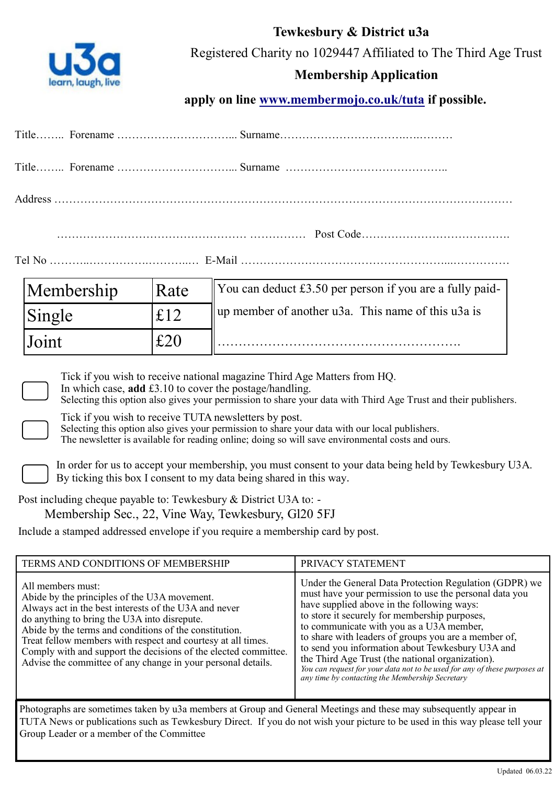

**Tewkesbury & District u3a** Registered Charity no 1029447 Affiliated to The Third Age Trust

# **Membership Application**

apply on line **www.membermojo.co.uk/tuta** if possible.

| Membership                                                                                                                                                                                                                                                                                                                                                                                                                                                                    | Rate | You can deduct £3.50 per person if you are a fully paid-<br>up member of another u3a. This name of this u3a is              |                                                                                                                                                                                                                                                                                                                                                                                                                                                                                                                                                                                  |
|-------------------------------------------------------------------------------------------------------------------------------------------------------------------------------------------------------------------------------------------------------------------------------------------------------------------------------------------------------------------------------------------------------------------------------------------------------------------------------|------|-----------------------------------------------------------------------------------------------------------------------------|----------------------------------------------------------------------------------------------------------------------------------------------------------------------------------------------------------------------------------------------------------------------------------------------------------------------------------------------------------------------------------------------------------------------------------------------------------------------------------------------------------------------------------------------------------------------------------|
| Single                                                                                                                                                                                                                                                                                                                                                                                                                                                                        | £12  |                                                                                                                             |                                                                                                                                                                                                                                                                                                                                                                                                                                                                                                                                                                                  |
| Joint                                                                                                                                                                                                                                                                                                                                                                                                                                                                         | £20  |                                                                                                                             |                                                                                                                                                                                                                                                                                                                                                                                                                                                                                                                                                                                  |
| Post including cheque payable to: Tewkesbury & District U3A to: -<br>Membership Sec., 22, Vine Way, Tewkesbury, Gl20 5FJ<br>Include a stamped addressed envelope if you require a membership card by post.                                                                                                                                                                                                                                                                    |      | Tick if you wish to receive TUTA newsletters by post.<br>By ticking this box I consent to my data being shared in this way. | Selecting this option also gives your permission to share your data with our local publishers.<br>The newsletter is available for reading online; doing so will save environmental costs and ours.<br>In order for us to accept your membership, you must consent to your data being held by Tewkesbury U3A.                                                                                                                                                                                                                                                                     |
| TERMS AND CONDITIONS OF MEMBERSHIP<br>All members must:<br>Abide by the principles of the U3A movement.<br>Always act in the best interests of the U3A and never<br>do anything to bring the U3A into disrepute.<br>Abide by the terms and conditions of the constitution.<br>Treat fellow members with respect and courtesy at all times.<br>Comply with and support the decisions of the elected committee.<br>Advise the committee of any change in your personal details. |      |                                                                                                                             | PRIVACY STATEMENT<br>Under the General Data Protection Regulation (GDPR) we<br>must have your permission to use the personal data you<br>have supplied above in the following ways:<br>to store it securely for membership purposes,<br>to communicate with you as a U3A member,<br>to share with leaders of groups you are a member of,<br>to send you information about Tewkesbury U3A and<br>the Third Age Trust (the national organization).<br>You can request for your data not to be used for any of these purposes at<br>any time by contacting the Membership Secretary |
| Group Leader or a member of the Committee                                                                                                                                                                                                                                                                                                                                                                                                                                     |      |                                                                                                                             | Photographs are sometimes taken by u3a members at Group and General Meetings and these may subsequently appear in<br>TUTA News or publications such as Tewkesbury Direct. If you do not wish your picture to be used in this way please tell your                                                                                                                                                                                                                                                                                                                                |